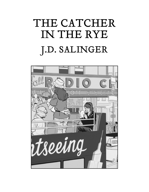## THE CATCHER IN THE RYE J.D. SALINGER

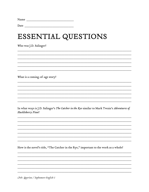### ESSENTIAL QUESTIONS

Who was J.D. Salinger?

What is a coming-of-age story?

In what ways is J.D. Salinger's The Catcher in the Rye similar to Mark Twain's Adventures of Huckleberry Finn?

How is the novel's title, "The Catcher in the Rye," important to the work as a whole?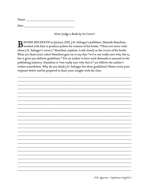| Name |  |  |  |
|------|--|--|--|
|      |  |  |  |
| Date |  |  |  |

#### Never Judge a Book by Its Cover?

BEFORE HIS DEATH in January 2010, J.D. Salinger's publisher, Hamish Hamilton,<br>Dworked with him to produce jackets for reissues of his books. "There are strict rules about J.D. Salinger's covers," Hamilton explains. Look closely at the covers of his books. What are those strict rules? Hamilton goes on to say that "we're not really sure why this is, but it gives you definite guidelines." For an author to have such demands is unusual in the publishing industry. Hamilton is "not really sure why this is" yet follows the author's wishes nonetheless. Why do you think J.D. Salinger has these guidelines? Please write your response below and be prepared to share your insight with the class.

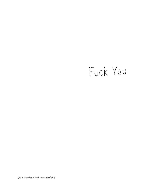# Fuck You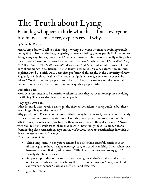## The Truth about Lying

#### From big whoppers to little white lies, almost everyone fibs on occasion. Here, experts reveal why.

#### by Jenna McCarthy

Nearly any adult will tell you that lying is wrong. But when it comes to avoiding trouble, saving face in front of the boss, or sparing someone's feelings, many people find themselves doing it anyway. In fact, more than 80 percent of women admit to occasionally telling what they consider harmless half-truths, says Susan Shapiro Barash, author of *Little White Lies, Deep Dark Secrets: The Truth about Why Women Lie*. And 75 percent admit to lying to loved ones about money in particular. The tendency to tell tales is "a very natural human trait," explains David L. Smith, Ph.D., associate professor of philosophy at the University of New England, in Biddeford, Maine. "It lets you manipulate the way you want to be seen by others." To pinpoint how people stretch the truth from time to time and the potential fallout from it, learn the six most common ways that people mislead.

#### Deception Points

Most lies aren't meant to be hurtful to others; rather, they're meant to help the one doing the fibbing. These are the six top ways people lie:

#### 1. Lying to Save Face

What it sounds like: "Gosh, I never got the shower invitation!" "Sorry I'm late, but there was a huge pileup on the freeway."

Why people do it: For self-preservation. While it may be instinctual, people who frequently cover up innocent errors may start to feel as if they have permission to be irresponsible. What's more, it can become grueling for them to keep track of those deceptions. ("Now, why did I tell her I couldn't co-chair that event?") Eventually those lies hinder people from having close connections, says Smith. "Of course, there are relationships in which it doesn't matter as much," he says.

How you can avoid it:

- Think long-term. When you're tempted to be less than truthful, consider your ultimate goal: to have a happy marriage, say, or a solid friendship. Then, when torn between fact and fiction, ask yourself, "Which will put me closer to my goal?" Usually the choice is clear.
- Keep it simple. Most of the time, a short apology is all that's needed, and you can omit some details without sacrificing the truth. Something like "Sorry that I didn't call you back sooner" is usually sufficient and effective.

2. Lying to Shift Blame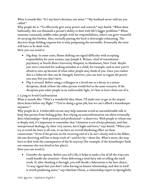What it sounds like: "It's my boss's decision, not mine." "My husband never told me you called."

Why people do it: "To effectively give away power and control," says Smith. "When done habitually, this can diminish a person's ability to deal with life's bigger problems." When someone constantly saddles other people with his responsibilities, others can grow resentful of carrying this burden. Also, eternally passing the buck is downright exhausting. The deceiver keeps fielding requests but is only postponing the inevitable. Eventually the issue will have to be dealt with.

How you can avoid it:

- Dig deep. In some cases, blame shifting can signal difficulty with accepting responsibility for your actions, says Joseph S. Weiner, chief of consultation psychiatry at North Shore University Hospital, in Manhasset, New York. Maybe you were criticized for making mistakes as a child, for example, and so now you're afraid to own up because of what other people may think of you. Once you realize this is a behavior that can be changed, however, you can start to regain the power you may feel you don't have.
- Flip it around. Before using a colleague or a loved one as a decoy in a minor deception, think of how the other person would feel in the same scenario. If the deception puts other people in an unfavorable light, it's best to leave them out of it.

#### 3. Lying to Avoid Confrontation

What it sounds like: "That's a wonderful idea, Mom. I'll make sure to get to the airport three hours before my flight." "You're doing a great job, but we can't afford a housekeeper anymore."

Why people do it: A believable excuse may help someone avoid an uncomfortable talk or keep that person from feeling guilty. But relying on nonconfrontation too often eventually does relationships―both personal and professional―a disservice. With people to whom one is deeply tied, it's important to remember that "closeness is not always pleasant, and that interpersonal dealings, by their very nature, have highs and lows," says Smith. "When you try to avoid the lows at all cost, it can have an overall deadening effect on these connections." Even if the person on the receiving end of a lie isn't closely tied to the fibber, the one deceiving still has to keep track of―and live by―those lies. What's more, she may have to deal with the consequences of the lie anyway (for example, if the housekeeper finds out someone else was hired in her place).

How you can avoid it:

 Consider the options. Before you tell a fib, it helps to make a list of all the ways you could handle the situation―from delivering a total fairy tale to telling the stark truth. If, after thinking it through, you still decide a fabrication is the best choice, "it may signal that you don't value having an honest relationship, and that in itself is worth pondering more," says Marlene Chism, a relationship expert in Springfield,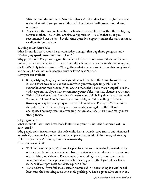Missouri, and the author of *Success Is a Given*. On the other hand, maybe there is an option that will allow you to tell the truth but that will still provide your desired outcome.

• Pair it with the positive. Look for the bright, true spot buried within the lie. Saying to your mother, "Your ideas are always appreciated―I called that tutor you recommended last week!―but this time I just don't agree," makes the truth easier to swallow for both of you.

#### 4. Lying to Get One's Way

What it sounds like: "I won't be at work today. I caught that bug that's going around." "Officer, my speedometer must be broken."

Why people do it: For personal gain. But when a lie like this is uncovered, the recipient is unlikely to be charitable. And the more hurtful the lie is to the person on the receiving end, the less it's likely to be forgiven. "When getting what a person wants drives his every word and action, he will not earn people's trust or love," says Weiner.

How you can avoid it:

- Stop justifying. Maybe you think you deserved that day off. Or you figured it was late and there was no one on the road when you were speeding. While both rationalizations may be true, "that doesn't make the lie any more acceptable in the end," says Smith. If you have to convince yourself the lie is OK, chances are it's not.
- Think of the alternative. Consider if honesty could still bring about a positive result. Example: "I know I don't have any vacation left, but I'd be willing to come in Saturday or stay late every day next week if I could have Friday off." Or admit to the police officer that you lost your concentration going down the hill and apologize. That may result in a warning instead of a ticket. You never really know until you try.

#### 5. Lying to Be Nice

What it sounds like: "That dress looks fantastic on you." "This is the best meat loaf I've ever tasted."

Why people do it: In some cases, the little white lie is altruistic, says Smith, but when used excessively, it can make interactions with people less authentic. At its worst, others may feel that a person isn't being genuine or trustworthy. How you can avoid it:

- Walk in the other person's shoes. People often underestimate the information that others can tolerate and even benefit from, particularly when the words are said out of friendship, says Weiner. For example, you would generally want someone to mention it if you had a piece of spinach stuck in your teeth, if your blouse had a stain, or if your pot roast could use a pinch of salt.
- Tone it down. If you feel that a certain amount of truth stretching is a vital social lubricant, the best thing to do is to avoid gushing. "That's a great color on you" is a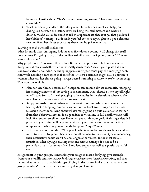lot more plausible than "That's the most stunning sweater I have ever seen in my entire life."

 Track it. Keeping a tally of the tales you tell for a day or a week can help you distinguish between the instances where being truthful matters and where it doesn't. Maybe you didn't need to tell the supermarket checkout gal that you loved her (hideous) earrings. But it made you feel better to say it, plus you got a pleasant reaction from her. Most experts say there's no huge harm in that.

#### 6. Lying to Make Oneself Feel Better

What it sounds like: "Eating my kids' French fries doesn't count." "I'll charge this stuff now because I'm going to pay off the credit-card bill as soon as I get my bonus." "I never watch television."

Why people do it: To reassure themselves. But when people start to believe their selfdeceptions, it can snowball, which is especially dangerous. A clean-your-plate habit can lead to an extra 10 pounds. One shopping spree can trigger can't-pay-the-mortgage debt. And while denying hours spent in front of the TV isn't a crime, it might cause a person to wonder where all her time is going—or get busted humming the *Law & Order* theme song. How you can avoid it:

- Plan honesty ahead. Because self-deception can become almost automatic, "stopping isn't simply a matter of just saying in the moment, 'Hey, should I lie to myself right now?'" says Smith. Instead, pledging to face reality in the situations where you're most likely to deceive yourself is a smarter tactic.
- Keep your goals in sight. Whatever you want to accomplish, from sticking to a healthy diet to keeping your bank account in the black to cutting down on those television marathons, lying about what's really going on puts you one step farther from that objective. Instead, it's a good idea to visualize, in full detail, what it will look, feel, sound, smell, or taste like when you attain your goal. "Painting a detailed picture in your mind will help you maintain your motivation, even in the face of temptation to sabotage yourself with deception," says Weiner.
- Help others be accountable. When people who tend to deceive themselves spend too much time with frequent fibbers or even others who tolerate that type of mendacity, their destructive habits won't be challenged or corrected. In the most serious situations, where lying is causing someone serious damage, it helps to be a particularly truth-conscious friend and lend support as well as a gentle, watchful eye.

Assignment: In your groups, summarize your assigned reason for lying, give examples from your own life and *The Catcher in the Rye* or *Adventures of Huckleberry Finn*, and then tell us what we can do to avoid this type of lying in the future. Make sure that all of your group members' names are on the summary that you hand in.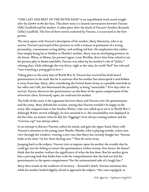"THE LAST AND BEST OF THE PETER PANS" is an unpublished work much sought after by *Catcher in the Rye* fans. This short story is a heated conversation between Vincent (DB) Caulfield and his mother. It takes place after the death of Vincent's brother Kenneth (Allie) Caulfield. The first of three stories authored by Vincent, it is narrated in the first person.

The story opens with Vincent's description of his mother, Mary Moriarity, who is an actress. Vincent's portrayal of her presents us with a woman in possession of a strong personality, consummate acting ability, and striking red hair. He emphasizes that rather than simply being his or Holden or Phoebe's mother, Mary was an enveloping presence in the house. When, at fifteen, his parents' agent, Leon Werblin, drove him from school to see his parents play in *Romeo and Juliet,* Vincent was taken by his mother's role of "Juliet," relating that, while although she was thirty-eight at the time, he could "feel" her role and "was watching a young girl in love."

Taking place in the early days of World War II, Vincent has received his draft board questionnaire in the mail. But he is unaware that his mother has intercepted it and hidden it away from him. Mary, after considering the United States Army as a possible interlude in her older son's life, has determined the possibility as being "unsuitable." Five days after its arrival, Vincent discovers the questionnaire on the floor of the spoon compartment of the silverware chest. Extremely upset, he confronts his mother.

The bulk of this story is the argument between Mary and Vincent over the questionnaire and the army. Mary defends her actions, stating that Vincent wouldn't be happy in the army. She compares him to her brother Walter, who was called up to serve in World War I. Although Walter served willingly, he was unsuited to it. His unsuitability was displayed in the fact that, no matter what he did, his "leggings" were always coming undone and his "overseas cap" was always askew.

In an attempt to distract Vincent, soften his mood, and gain the upper hand, Mary calls Vincent's attention to his young sister Phoebe. Phoebe, who is playing outside, comes into view through the window, wearing a new coat that Mary has recently bought her. Vincent looks at his sister "in her short darling coat." Then he turns away.

Jumping back to the subject, Vincent tries to impress upon his mother the trouble that he could get into for failing to return the questionnaire within twenty-four hours. He doesn't think that his mother realizes the significance of what she has done. But his mother gives him a piercing look that knifes him with the comprehension that she had not hid the questionnaire in the spoon compartment "for the unintentional sake of a laugh line."

Mary then treads on the tenderest of territory – Kenneth's death. Vincent mentions that while his mother looked slightly afraid to approach the subject, "she came equipped, as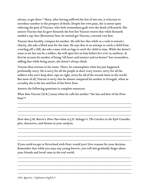always, to get there." Mary, after having suffered the loss of one son, is reluctant to introduce another to the prospect of death. Despite her own pain, she is intent upon relieving the pain of Vincent, who feels tremendous guilt over the death of Kenneth. She assures Vincent that he gave Kenneth the best but Vincent retorts that while Kenneth needed a top-line (Bernstein) best, he instead got Vincent, a second-rate best.

Vincent then harshly critiques his mother. He tells her that while in a rush to attend a charity, she asks a blind man for the time. He says that in an attempt to catch a child from crawling off a cliff, she asks a man with no legs to catch the child in time. While she doesn't want to see her son be a soldier, she will open fire on him before he's ever in uniform. At first he accuses his mother of being "all heart and instinct and no brains" but reconsiders, adding that while being smart, she doesn't always think.

Vincent then retreats to his room. There, he contemplates what has just happened, profoundly sorry. He is sorry for all the people in their ivory towers, sorry for all the soldiers who can't keep their caps on right, sorry for all of the second-bests in the world. But most of all, Vincent is sorry that he almost compared his mother to Svengali, when in actuality she is the last and best of the Peter Pans.

Answer the following questions in complete sentences:

What does Vincent (D.B.) mean when he calls his mother "the last and best of the Peter Pans"?

\_\_\_\_\_\_\_\_\_\_\_\_\_\_\_\_\_\_\_\_\_\_\_\_\_\_\_\_\_\_\_\_\_\_\_\_\_\_\_\_\_\_\_\_\_\_\_\_\_\_\_\_\_\_\_\_\_\_\_\_\_\_\_\_\_ \_\_\_\_\_\_\_\_\_\_\_\_\_\_\_\_\_\_\_\_\_\_\_\_\_\_\_\_\_\_\_\_\_\_\_\_\_\_\_\_\_\_\_\_\_\_\_\_\_\_\_\_\_\_\_\_\_\_\_\_\_\_\_\_\_ \_\_\_\_\_\_\_\_\_\_\_\_\_\_\_\_\_\_\_\_\_\_\_\_\_\_\_\_\_\_\_\_\_\_\_\_\_\_\_\_\_\_\_\_\_\_\_\_\_\_\_\_\_\_\_\_\_\_\_\_\_\_\_\_\_ \_\_\_\_\_\_\_\_\_\_\_\_\_\_\_\_\_\_\_\_\_\_\_\_\_\_\_\_\_\_\_\_\_\_\_\_\_\_\_\_\_\_\_\_\_\_\_\_\_\_\_\_\_\_\_\_\_\_\_\_\_\_\_\_\_

How does J.M. Barrie's Peter Pan relate to J.D. Salinger's The Catcher in the Rye? Consider plot, characters, and themes in your analysis.

\_\_\_\_\_\_\_\_\_\_\_\_\_\_\_\_\_\_\_\_\_\_\_\_\_\_\_\_\_\_\_\_\_\_\_\_\_\_\_\_\_\_\_\_\_\_\_\_\_\_\_\_\_\_\_\_\_\_\_\_\_\_\_\_\_ \_\_\_\_\_\_\_\_\_\_\_\_\_\_\_\_\_\_\_\_\_\_\_\_\_\_\_\_\_\_\_\_\_\_\_\_\_\_\_\_\_\_\_\_\_\_\_\_\_\_\_\_\_\_\_\_\_\_\_\_\_\_\_\_\_ \_\_\_\_\_\_\_\_\_\_\_\_\_\_\_\_\_\_\_\_\_\_\_\_\_\_\_\_\_\_\_\_\_\_\_\_\_\_\_\_\_\_\_\_\_\_\_\_\_\_\_\_\_\_\_\_\_\_\_\_\_\_\_\_\_ \_\_\_\_\_\_\_\_\_\_\_\_\_\_\_\_\_\_\_\_\_\_\_\_\_\_\_\_\_\_\_\_\_\_\_\_\_\_\_\_\_\_\_\_\_\_\_\_\_\_\_\_\_\_\_\_\_\_\_\_\_\_\_\_\_

If you could escape to Neverland with Peter would you? Give reasons for your decision. Remember that while you may stay young forever, you will also gradually forget about your friends and loved-ones in the real world.

\_\_\_\_\_\_\_\_\_\_\_\_\_\_\_\_\_\_\_\_\_\_\_\_\_\_\_\_\_\_\_\_\_\_\_\_\_\_\_\_\_\_\_\_\_\_\_\_\_\_\_\_\_\_\_\_\_\_\_\_\_\_\_\_\_ \_\_\_\_\_\_\_\_\_\_\_\_\_\_\_\_\_\_\_\_\_\_\_\_\_\_\_\_\_\_\_\_\_\_\_\_\_\_\_\_\_\_\_\_\_\_\_\_\_\_\_\_\_\_\_\_\_\_\_\_\_\_\_\_\_ \_\_\_\_\_\_\_\_\_\_\_\_\_\_\_\_\_\_\_\_\_\_\_\_\_\_\_\_\_\_\_\_\_\_\_\_\_\_\_\_\_\_\_\_\_\_\_\_\_\_\_\_\_\_\_\_\_\_\_\_\_\_\_\_\_ \_\_\_\_\_\_\_\_\_\_\_\_\_\_\_\_\_\_\_\_\_\_\_\_\_\_\_\_\_\_\_\_\_\_\_\_\_\_\_\_\_\_\_\_\_\_\_\_\_\_\_\_\_\_\_\_\_\_\_\_\_\_\_\_\_ \_\_\_\_\_\_\_\_\_\_\_\_\_\_\_\_\_\_\_\_\_\_\_\_\_\_\_\_\_\_\_\_\_\_\_\_\_\_\_\_\_\_\_\_\_\_\_\_\_\_\_\_\_\_\_\_\_\_\_\_\_\_\_\_\_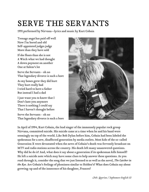### SERVE THE SERVANTS

1993 performed by Nirvana—lyrics and music by Kurt Cobain

Teenage angsthas paid off well Now I'm bored and old Self-appointed judges judge More than they have sold

If she floats than she is not A Witch what we had thought A down payment on another One at Salem's lot

Serve the Servants - oh no That legendary divorce is such a bore

As my bones grew they did hurt They hurt really bad I tried hard to have a father But instead I had a dad

I just want you to know that I Don't hate you anymore There is nothing I could say That I haven't thought before

Serve the Servants - oh no That legendary divorce is such a bore



In April of 1994, Kurt Cobain, the lead singer of the immensely popular rock group Nirvana, committed suicide. His suicide came at a time when he and his band were seemingly on top of the world. Like Bob Dylan before him, Cobain had been labeled the spokesman for a new, disaffected generation by media outlets. Most kids of the so-called Generation X were devastated when the news of Cobain's death was fervently broadcast on MTV and radio stations across the country. His death left many unanswered questions. Why did he do it? And, what does it say about a generation if its spokesman kills himself? He left a suicide note which may have some clues to help answer these questions. As you read through it, consider the song that we just listened to as well as the novel, *The Catcher in the Rye.* Are Cobain's feelings of phoniness similar to Holden's? What does Cobain say about growing-up and of the innocence of his daughter, Frances?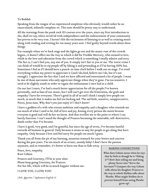#### To Boddah

Speaking from the tongue of an experienced simpleton who obviously would rather be an emasculated, infantile complain-ee. This note should be pretty easy to understand.

All the warnings from the punk rock 101 courses over the years, since my first introduction to the, shall we say, ethics involved with independence and the embracement of your community has proven to be very true. I haven't felt the excitement of listening to as well as creating music along with reading and writing for too many years now. I feel guilty beyond words about these things.

For example when we're back stage and the lights go out and the manic roar of the crowds begins., it doesn't affect me the way in which it did for Freddie Mercury, who seemed to love, relish in the love and adoration from the crowd which is something I totally admire and envy. The fact is, I can't fool you, any one of you. It simply isn't fair to you or me. The worst crime I can think of would be to rip people off by faking it and pretending as if I'm having 100% fun. Sometimes I feel as if I should have a punch-in time clock before I walk out on stage. I've tried everything within my power to appreciate it (and I do,God, believe me I do, but it's not enough). I appreciate the fact that I and we have affected and entertained a lot of people. I must be one of those narcissists who only appreciate things when they're gone. I'm too sensitive. I need to be slightly numb in order to regain the enthusiasms I once had as a child.

On our last 3 tours, I've had a much better appreciation for all the people I've known personally, and as fans of our music, but I still can't get over the frustration, the guilt and empathy I have for everyone. There's good in all of us and I think I simply love people too much, so much that it makes me feel too fucking sad. The sad little, sensitive, unappreciative, Pisces, Jesus man. Why don't you just enjoy it? I don't know!

I have a goddess of a wife who sweats ambition and empathy and a daughter who reminds me too much of what I used to be, full of love and joy, kissing every person she meets because everyone is good and will do her no harm. And that terrifies me to the point to where I can barely function. I can't stand the thought of Frances becoming the miserable, self-destructive, death rocker that I've become.

I have it good, very good, and I'm grateful, but since the age of seven, I've become hateful towards all humans in general. Only because it seems so easy for people to get along that have empathy. Only because I love and feel sorry for people too much I guess.

Thank you all from the pit of my burning, nauseous stomach for your letters and concern during the past years. I'm too much of an erratic, moody baby! I don't have the passion anymore, and so remember, it's better to burn out than to fade away.

Peace, love, empathy. Kurt Cobain

Frances and Courtney, I'll be at your altar. Please keep going Courtney, for Frances. For her life, which will be so much happier without me.

I LOVE YOU, I LOVE YOU!

*Mr. Querino / Sophomore English 11*

#### MAKING CONNECTIONS

What does Cobain mean when he says that he feels as though he is "faking it"? How does selling out and being phony factor into "Serve the Servants"? Compare the way Cobain talks about his daughter Frances to the way in which Holden talks about Phoebe. What might Holden do to prevent himself from seeing Phoebe grow up?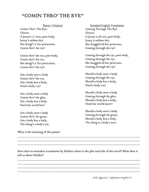#### "COMIN THRO' THE RYE"

Comin Thro' The Rye. Chorus. O Jenny's a' weet, poor body, Jenny's seldom dry: She draigl't a' her petticoatie, Comin thro' the rye!

Comin thro' the rye, poor body, Comin thro' the rye, She draigl't a' her petticoatie, Comin thro' the rye!

Gin a body meet a body Comin thro' the rye, Gin a body kiss a body, Need a body cry?

Gin a body meet a body Comin thro' the glen, Gin a body kiss a body, Need the warld ken?

Gin a body meet a body Comin thro' the grain, Gin a body kiss a body, The thing's a body's ain.

What is the meaning of this poem?

Burns's Original Standard English Translation Coming Through The Rye. Chorus. O Jenny is all wet, poor body, Jenny is seldom dry: She draggled all her petticoats, Coming through the rye!

> Coming through the rye, poor body, Coming through the rye, She draggled all her petticoats, Coming through the rye!

Should a body meet a body Coming through the rye, Should a body kiss a body, Need a body cry?

Should a body meet a body Coming through the glen, Should a body kiss a body, Need the world know?

Should a body meet a body Coming through the grain, Should a body kiss a body, The thing is a body's own.

How does its mistaken translation by Holden relate to the plot and title of the novel? What does it tell us about Holden?

\_\_\_\_\_\_\_\_\_\_\_\_\_\_\_\_\_\_\_\_\_\_\_\_\_\_\_\_\_\_\_\_\_\_\_\_\_\_\_\_\_\_\_\_\_\_\_\_\_\_\_\_\_\_\_\_\_\_\_\_\_\_\_\_\_\_\_\_\_\_ \_\_\_\_\_\_\_\_\_\_\_\_\_\_\_\_\_\_\_\_\_\_\_\_\_\_\_\_\_\_\_\_\_\_\_\_\_\_\_\_\_\_\_\_\_\_\_\_\_\_\_\_\_\_\_\_\_\_\_\_\_\_\_\_\_\_\_\_\_\_ \_\_\_\_\_\_\_\_\_\_\_\_\_\_\_\_\_\_\_\_\_\_\_\_\_\_\_\_\_\_\_\_\_\_\_\_\_\_\_\_\_\_\_\_\_\_\_\_\_\_\_\_\_\_\_\_\_\_\_\_\_\_\_\_\_\_\_\_\_\_ \_\_\_\_\_\_\_\_\_\_\_\_\_\_\_\_\_\_\_\_\_\_\_\_\_\_\_\_\_\_\_\_\_\_\_\_\_\_\_\_\_\_\_\_\_\_\_\_\_\_\_\_\_\_\_\_\_\_\_\_\_\_\_\_\_\_\_\_\_\_

\_\_\_\_\_\_\_\_\_\_\_\_\_\_\_\_\_\_\_\_\_\_\_\_\_\_\_\_\_\_\_\_\_\_\_\_\_\_\_\_\_\_\_\_\_\_\_\_\_\_\_\_\_\_\_\_\_\_\_\_\_\_\_\_\_\_\_\_\_\_ \_\_\_\_\_\_\_\_\_\_\_\_\_\_\_\_\_\_\_\_\_\_\_\_\_\_\_\_\_\_\_\_\_\_\_\_\_\_\_\_\_\_\_\_\_\_\_\_\_\_\_\_\_\_\_\_\_\_\_\_\_\_\_\_\_\_\_\_\_\_ \_\_\_\_\_\_\_\_\_\_\_\_\_\_\_\_\_\_\_\_\_\_\_\_\_\_\_\_\_\_\_\_\_\_\_\_\_\_\_\_\_\_\_\_\_\_\_\_\_\_\_\_\_\_\_\_\_\_\_\_\_\_\_\_\_\_\_\_\_\_